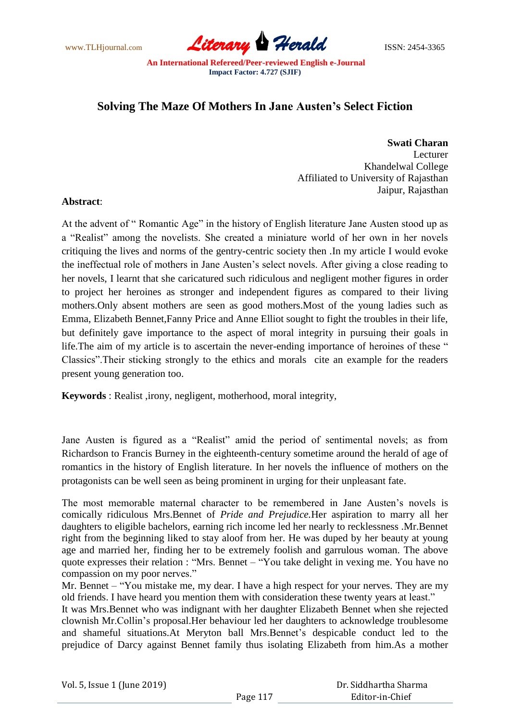www.TLHjournal.com **Literary Herald Herald** ISSN: 2454-3365

## **Solving The Maze Of Mothers In Jane Austen's Select Fiction**

**Swati Charan**

Lecturer Khandelwal College Affiliated to University of Rajasthan Jaipur, Rajasthan

## **Abstract**:

At the advent of "Romantic Age" in the history of English literature Jane Austen stood up as a "Realist" among the novelists. She created a miniature world of her own in her novels critiquing the lives and norms of the gentry-centric society then .In my article I would evoke the ineffectual role of mothers in Jane Austen's select novels. After giving a close reading to her novels, I learnt that she caricatured such ridiculous and negligent mother figures in order to project her heroines as stronger and independent figures as compared to their living mothers.Only absent mothers are seen as good mothers.Most of the young ladies such as Emma, Elizabeth Bennet,Fanny Price and Anne Elliot sought to fight the troubles in their life, but definitely gave importance to the aspect of moral integrity in pursuing their goals in life. The aim of my article is to ascertain the never-ending importance of heroines of these " Classics". Their sticking strongly to the ethics and morals cite an example for the readers present young generation too.

**Keywords** : Realist ,irony, negligent, motherhood, moral integrity,

Jane Austen is figured as a "Realist" amid the period of sentimental novels; as from Richardson to Francis Burney in the eighteenth-century sometime around the herald of age of romantics in the history of English literature. In her novels the influence of mothers on the protagonists can be well seen as being prominent in urging for their unpleasant fate.

The most memorable maternal character to be remembered in Jane Austen's novels is comically ridiculous Mrs.Bennet of *Pride and Prejudice.*Her aspiration to marry all her daughters to eligible bachelors, earning rich income led her nearly to recklessness .Mr.Bennet right from the beginning liked to stay aloof from her. He was duped by her beauty at young age and married her, finding her to be extremely foolish and garrulous woman. The above quote expresses their relation : "Mrs. Bennet – "You take delight in vexing me. You have no compassion on my poor nerves."

Mr. Bennet – "You mistake me, my dear. I have a high respect for your nerves. They are my old friends. I have heard you mention them with consideration these twenty years at least."

It was Mrs.Bennet who was indignant with her daughter Elizabeth Bennet when she rejected clownish Mr.Collin's proposal.Her behaviour led her daughters to acknowledge troublesome and shameful situations.At Meryton ball Mrs.Bennet's despicable conduct led to the prejudice of Darcy against Bennet family thus isolating Elizabeth from him.As a mother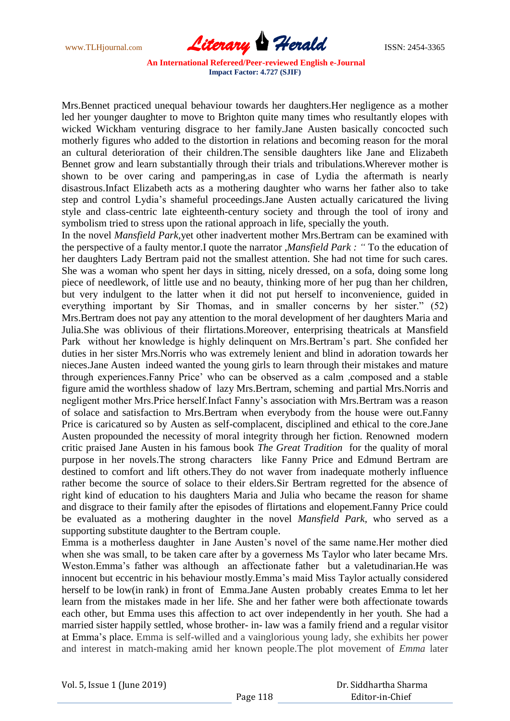www.TLHjournal.com **Literary Herald ISSN: 2454-3365** 

Mrs.Bennet practiced unequal behaviour towards her daughters.Her negligence as a mother led her younger daughter to move to Brighton quite many times who resultantly elopes with wicked Wickham venturing disgrace to her family.Jane Austen basically concocted such motherly figures who added to the distortion in relations and becoming reason for the moral an cultural deterioration of their children.The sensible daughters like Jane and Elizabeth Bennet grow and learn substantially through their trials and tribulations.Wherever mother is shown to be over caring and pampering,as in case of Lydia the aftermath is nearly disastrous.Infact Elizabeth acts as a mothering daughter who warns her father also to take step and control Lydia's shameful proceedings.Jane Austen actually caricatured the living style and class-centric late eighteenth-century society and through the tool of irony and symbolism tried to stress upon the rational approach in life, specially the youth.

In the novel *Mansfield Park,*yet other inadvertent mother Mrs.Bertram can be examined with the perspective of a faulty mentor.I quote the narrator ,*Mansfield Park : "* To the education of her daughters Lady Bertram paid not the smallest attention. She had not time for such cares. She was a woman who spent her days in sitting, nicely dressed, on a sofa, doing some long piece of needlework, of little use and no beauty, thinking more of her pug than her children, but very indulgent to the latter when it did not put herself to inconvenience, guided in everything important by Sir Thomas, and in smaller concerns by her sister." (52) Mrs.Bertram does not pay any attention to the moral development of her daughters Maria and Julia.She was oblivious of their flirtations.Moreover, enterprising theatricals at Mansfield Park without her knowledge is highly delinquent on Mrs.Bertram's part. She confided her duties in her sister Mrs.Norris who was extremely lenient and blind in adoration towards her nieces.Jane Austen indeed wanted the young girls to learn through their mistakes and mature through experiences.Fanny Price' who can be observed as a calm ,composed and a stable figure amid the worthless shadow of lazy Mrs.Bertram, scheming and partial Mrs.Norris and negligent mother Mrs.Price herself.Infact Fanny's association with Mrs.Bertram was a reason of solace and satisfaction to Mrs.Bertram when everybody from the house were out.Fanny Price is caricatured so by Austen as self-complacent, disciplined and ethical to the core.Jane Austen propounded the necessity of moral integrity through her fiction. Renowned modern critic praised Jane Austen in his famous book *The Great Tradition* for the quality of moral purpose in her novels.The strong characters like Fanny Price and Edmund Bertram are destined to comfort and lift others.They do not waver from inadequate motherly influence rather become the source of solace to their elders.Sir Bertram regretted for the absence of right kind of education to his daughters Maria and Julia who became the reason for shame and disgrace to their family after the episodes of flirtations and elopement.Fanny Price could be evaluated as a mothering daughter in the novel *Mansfield Park,* who served as a supporting substitute daughter to the Bertram couple.

Emma is a motherless daughter in Jane Austen's novel of the same name.Her mother died when she was small, to be taken care after by a governess Ms Taylor who later became Mrs. Weston.Emma's father was although an affectionate father but a valetudinarian.He was innocent but eccentric in his behaviour mostly.Emma's maid Miss Taylor actually considered herself to be low(in rank) in front of Emma.Jane Austen probably creates Emma to let her learn from the mistakes made in her life. She and her father were both affectionate towards each other, but Emma uses this affection to act over independently in her youth. She had a married sister happily settled, whose brother- in- law was a family friend and a regular visitor at Emma's place. Emma is self-willed and a vainglorious young lady, she exhibits her power and interest in match-making amid her known people.The plot movement of *Emma* later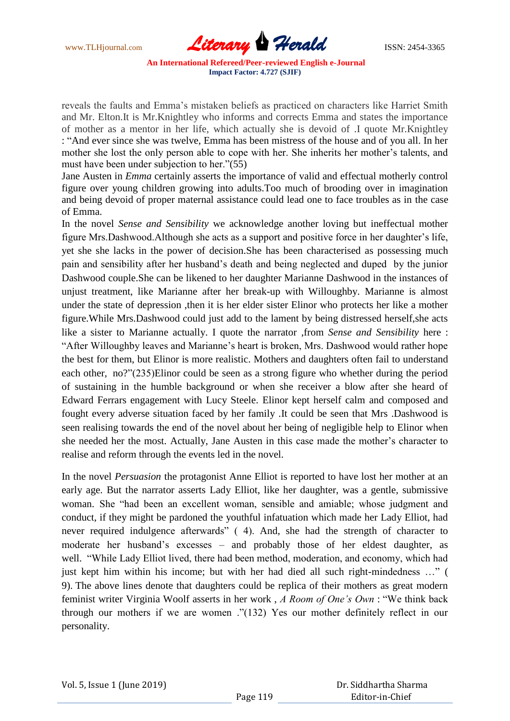www.TLHjournal.com *Literary Herald*ISSN: 2454-3365

reveals the faults and Emma's mistaken beliefs as practiced on characters like Harriet Smith and Mr. Elton.It is Mr.Knightley who informs and corrects Emma and states the importance of mother as a mentor in her life, which actually she is devoid of .I quote Mr.Knightley : "And ever since she was twelve, Emma has been mistress of the house and of you all. In her mother she lost the only person able to cope with her. She inherits her mother's talents, and must have been under subjection to her." $(55)$ 

Jane Austen in *Emma* certainly asserts the importance of valid and effectual motherly control figure over young children growing into adults.Too much of brooding over in imagination and being devoid of proper maternal assistance could lead one to face troubles as in the case of Emma.

In the novel *Sense and Sensibility* we acknowledge another loving but ineffectual mother figure Mrs.Dashwood.Although she acts as a support and positive force in her daughter's life, yet she she lacks in the power of decision.She has been characterised as possessing much pain and sensibility after her husband's death and being neglected and duped by the junior Dashwood couple.She can be likened to her daughter Marianne Dashwood in the instances of unjust treatment, like Marianne after her break-up with Willoughby. Marianne is almost under the state of depression ,then it is her elder sister Elinor who protects her like a mother figure.While Mrs.Dashwood could just add to the lament by being distressed herself,she acts like a sister to Marianne actually. I quote the narrator ,from *Sense and Sensibility* here : "After Willoughby leaves and Marianne's heart is broken, Mrs. Dashwood would rather hope the best for them, but Elinor is more realistic. Mothers and daughters often fail to understand each other, no?"(235)Elinor could be seen as a strong figure who whether during the period of sustaining in the humble background or when she receiver a blow after she heard of Edward Ferrars engagement with Lucy Steele. Elinor kept herself calm and composed and fought every adverse situation faced by her family .It could be seen that Mrs .Dashwood is seen realising towards the end of the novel about her being of negligible help to Elinor when she needed her the most. Actually, Jane Austen in this case made the mother's character to realise and reform through the events led in the novel.

In the novel *Persuasion* the protagonist Anne Elliot is reported to have lost her mother at an early age. But the narrator asserts Lady Elliot, like her daughter, was a gentle, submissive woman. She "had been an excellent woman, sensible and amiable; whose judgment and conduct, if they might be pardoned the youthful infatuation which made her Lady Elliot, had never required indulgence afterwards" (4). And, she had the strength of character to moderate her husband's excesses – and probably those of her eldest daughter, as well. "While Lady Elliot lived, there had been method, moderation, and economy, which had just kept him within his income; but with her had died all such right-mindedness ..." ( 9). The above lines denote that daughters could be replica of their mothers as great modern feminist writer Virginia Woolf asserts in her work, *A Room of One's Own*: "We think back through our mothers if we are women  $\cdot$  (132) Yes our mother definitely reflect in our personality.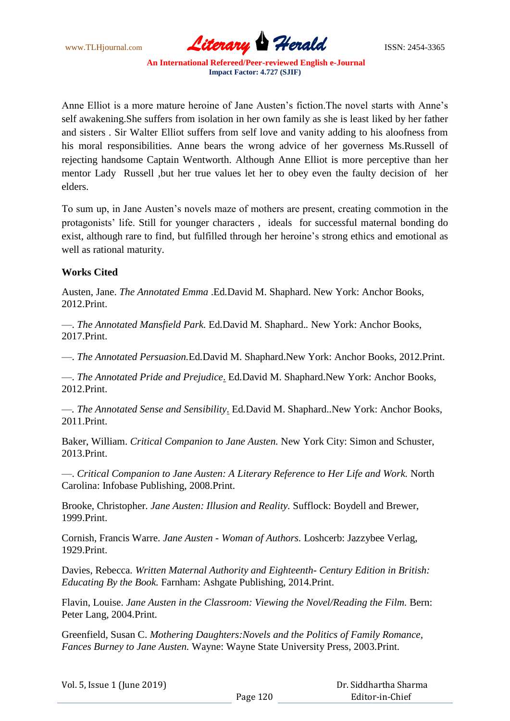www.TLHjournal.com **Literary Herald Herald** ISSN: 2454-3365

Anne Elliot is a more mature heroine of Jane Austen's fiction.The novel starts with Anne's self awakening.She suffers from isolation in her own family as she is least liked by her father and sisters . Sir Walter Elliot suffers from self love and vanity adding to his aloofness from his moral responsibilities. Anne bears the wrong advice of her governess Ms.Russell of rejecting handsome Captain Wentworth. Although Anne Elliot is more perceptive than her mentor Lady Russell ,but her true values let her to obey even the faulty decision of her elders.

To sum up, in Jane Austen's novels maze of mothers are present, creating commotion in the protagonists' life. Still for younger characters , ideals for successful maternal bonding do exist, although rare to find, but fulfilled through her heroine's strong ethics and emotional as well as rational maturity.

## **Works Cited**

Austen, Jane. *The Annotated Emma* .Ed*.*David M. Shaphard. New York: Anchor Books, 2012.Print.

—. *The Annotated Mansfield Park.* Ed*.*David M. Shaphard.*.* New York: Anchor Books, 2017.Print.

—. *The Annotated Persuasion.*Ed*.*David M. Shaphard.New York: Anchor Books, 2012.Print.

—. *The Annotated Pride and Prejudice*. Ed*.*David M. Shaphard.New York: Anchor Books, 2012.Print.

—*. The Annotated Sense and Sensibility*. Ed*.*David M. Shaphard..New York: Anchor Books, 2011.Print.

Baker, William. *Critical Companion to Jane Austen.* New York City: Simon and Schuster, 2013.Print.

—. *Critical Companion to Jane Austen: A Literary Reference to Her Life and Work.* North Carolina: Infobase Publishing, 2008.Print.

Brooke, Christopher*. Jane Austen: Illusion and Reality.* Sufflock: Boydell and Brewer, 1999.Print.

Cornish, Francis Warre. *Jane Austen - Woman of Authors.* Loshcerb: Jazzybee Verlag, 1929.Print.

Davies, Rebecca. *Written Maternal Authority and Eighteenth- Century Edition in British: Educating By the Book.* Farnham: Ashgate Publishing, 2014.Print.

Flavin, Louise. *Jane Austen in the Classroom: Viewing the Novel/Reading the Film.* Bern: Peter Lang, 2004.Print.

Greenfield, Susan C. *Mothering Daughters:Novels and the Politics of Family Romance, Fances Burney to Jane Austen.* Wayne: Wayne State University Press, 2003.Print.

| Vol. 5, Issue 1 (June 2019) |  |  |  |
|-----------------------------|--|--|--|
|-----------------------------|--|--|--|

 Dr. Siddhartha Sharma Editor-in-Chief